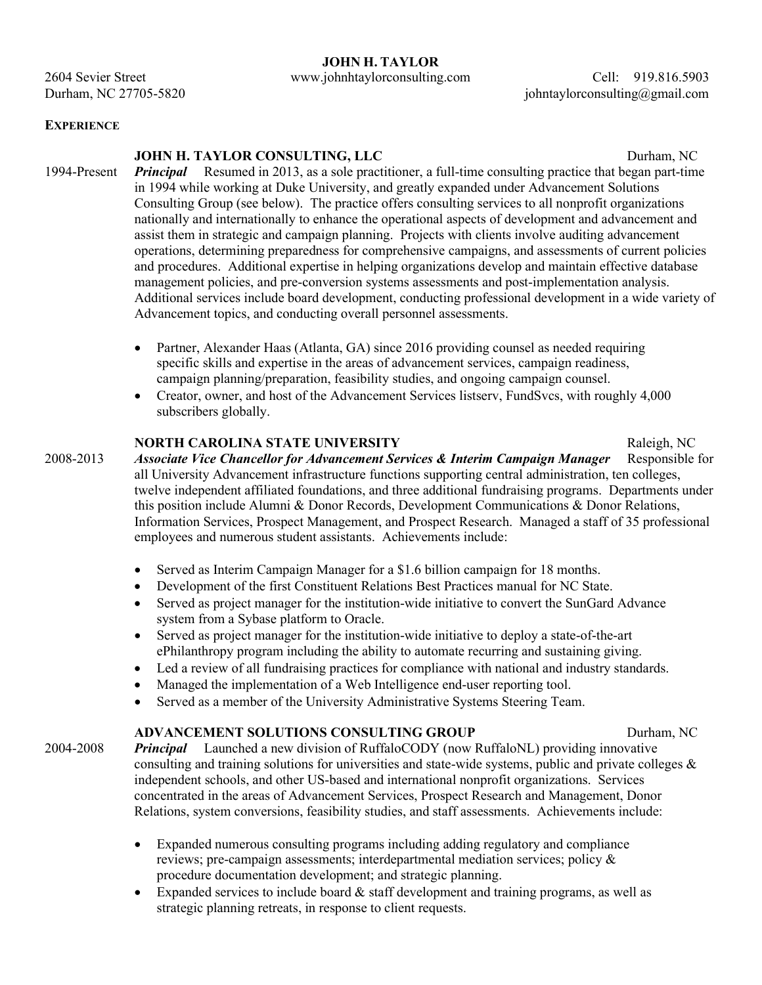### **JOHN H. TAYLOR**

2604 Sevier Street www.johnhtaylorconsulting.com Cell: 919.816.5903

Durham, NC 27705-5820 johntaylorconsulting@gmail.com

#### **EXPERIENCE**

### **JOHN H. TAYLOR CONSULTING, LLC** Durham, NC

- 1994-Present *Principal* Resumed in 2013, as a sole practitioner, a full-time consulting practice that began part-time in 1994 while working at Duke University, and greatly expanded under Advancement Solutions Consulting Group (see below). The practice offers consulting services to all nonprofit organizations nationally and internationally to enhance the operational aspects of development and advancement and assist them in strategic and campaign planning. Projects with clients involve auditing advancement operations, determining preparedness for comprehensive campaigns, and assessments of current policies and procedures. Additional expertise in helping organizations develop and maintain effective database management policies, and pre-conversion systems assessments and post-implementation analysis. Additional services include board development, conducting professional development in a wide variety of Advancement topics, and conducting overall personnel assessments.
	- Partner, Alexander Haas (Atlanta, GA) since 2016 providing counsel as needed requiring specific skills and expertise in the areas of advancement services, campaign readiness, campaign planning/preparation, feasibility studies, and ongoing campaign counsel.
	- Creator, owner, and host of the Advancement Services listserv, FundSvcs, with roughly 4,000 subscribers globally.

#### **NORTH CAROLINA STATE UNIVERSITY** Raleigh, NC

2008-2013 *Associate Vice Chancellor for Advancement Services & Interim Campaign Manager* Responsible for all University Advancement infrastructure functions supporting central administration, ten colleges, twelve independent affiliated foundations, and three additional fundraising programs. Departments under this position include Alumni & Donor Records, Development Communications & Donor Relations, Information Services, Prospect Management, and Prospect Research. Managed a staff of 35 professional employees and numerous student assistants. Achievements include:

- Served as Interim Campaign Manager for a \$1.6 billion campaign for 18 months.
- Development of the first Constituent Relations Best Practices manual for NC State.
- Served as project manager for the institution-wide initiative to convert the SunGard Advance system from a Sybase platform to Oracle.
- Served as project manager for the institution-wide initiative to deploy a state-of-the-art ePhilanthropy program including the ability to automate recurring and sustaining giving.
- Led a review of all fundraising practices for compliance with national and industry standards.
- Managed the implementation of a Web Intelligence end-user reporting tool.
- Served as a member of the University Administrative Systems Steering Team.

## **ADVANCEMENT SOLUTIONS CONSULTING GROUP 5 2000 Durham, NC**

2004-2008 *Principal* Launched a new division of RuffaloCODY (now RuffaloNL) providing innovative consulting and training solutions for universities and state-wide systems, public and private colleges  $\&$ independent schools, and other US-based and international nonprofit organizations. Services concentrated in the areas of Advancement Services, Prospect Research and Management, Donor Relations, system conversions, feasibility studies, and staff assessments. Achievements include:

- Expanded numerous consulting programs including adding regulatory and compliance reviews; pre-campaign assessments; interdepartmental mediation services; policy & procedure documentation development; and strategic planning.
- Expanded services to include board  $\&$  staff development and training programs, as well as strategic planning retreats, in response to client requests.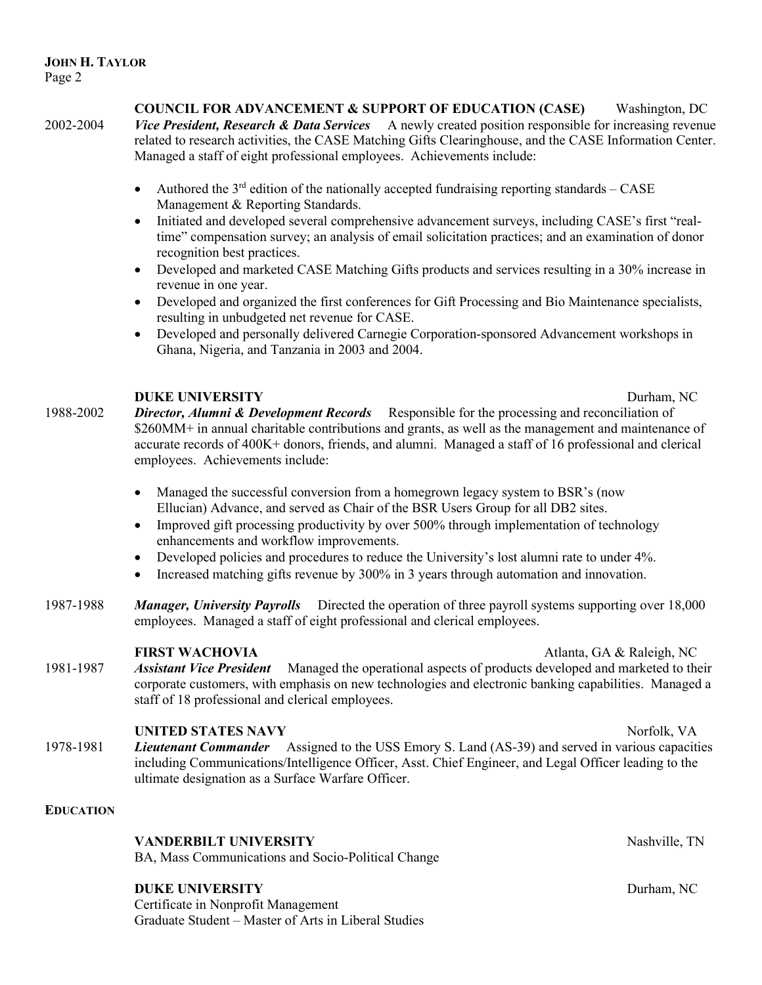**COUNCIL FOR ADVANCEMENT & SUPPORT OF EDUCATION (CASE)** Washington, DC 2002-2004 *Vice President, Research & Data Services* A newly created position responsible for increasing revenue related to research activities, the CASE Matching Gifts Clearinghouse, and the CASE Information Center. Managed a staff of eight professional employees. Achievements include:

- Authored the  $3<sup>rd</sup>$  edition of the nationally accepted fundraising reporting standards CASE Management & Reporting Standards.
- Initiated and developed several comprehensive advancement surveys, including CASE's first "realtime" compensation survey; an analysis of email solicitation practices; and an examination of donor recognition best practices.
- Developed and marketed CASE Matching Gifts products and services resulting in a 30% increase in revenue in one year.
- Developed and organized the first conferences for Gift Processing and Bio Maintenance specialists, resulting in unbudgeted net revenue for CASE.
- Developed and personally delivered Carnegie Corporation-sponsored Advancement workshops in Ghana, Nigeria, and Tanzania in 2003 and 2004.

## **DUKE UNIVERSITY** Durham, NC

- 1988-2002 *Director, Alumni & Development Records* Responsible for the processing and reconciliation of \$260MM+ in annual charitable contributions and grants, as well as the management and maintenance of accurate records of 400K+ donors, friends, and alumni. Managed a staff of 16 professional and clerical employees. Achievements include:
	- Managed the successful conversion from a homegrown legacy system to BSR's (now Ellucian) Advance, and served as Chair of the BSR Users Group for all DB2 sites.
	- Improved gift processing productivity by over 500% through implementation of technology enhancements and workflow improvements.
	- Developed policies and procedures to reduce the University's lost alumni rate to under 4%.
	- Increased matching gifts revenue by 300% in 3 years through automation and innovation.
- 1987-1988 *Manager, University Payrolls* Directed the operation of three payroll systems supporting over 18,000 employees. Managed a staff of eight professional and clerical employees.

**FIRST WACHOVIA** *Atlanta*, GA & Raleigh, NC 1981-1987 *Assistant Vice President* Managed the operational aspects of products developed and marketed to their corporate customers, with emphasis on new technologies and electronic banking capabilities. Managed a staff of 18 professional and clerical employees.

# **UNITED STATES NAVY** Norfolk, VA

1978-1981 *Lieutenant Commander* Assigned to the USS Emory S. Land (AS-39) and served in various capacities including Communications/Intelligence Officer, Asst. Chief Engineer, and Legal Officer leading to the ultimate designation as a Surface Warfare Officer.

# **EDUCATION**

**VANDERBILT UNIVERSITY** Nashville, TN

BA, Mass Communications and Socio-Political Change

# **DUKE UNIVERSITY** Durham, NC

Certificate in Nonprofit Management Graduate Student – Master of Arts in Liberal Studies